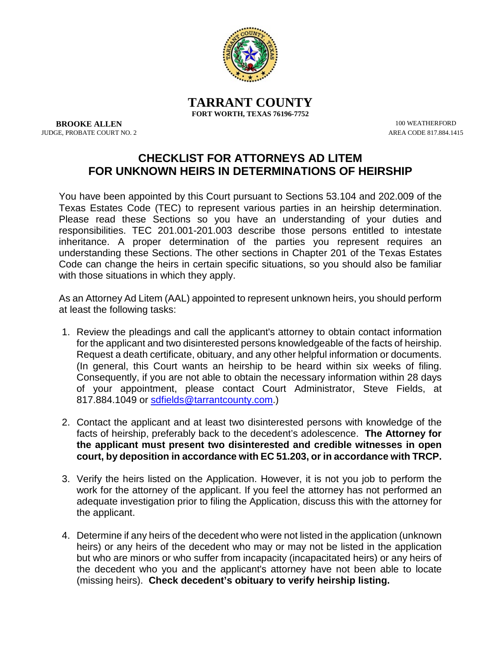

**TARRANT COUNTY FORT WORTH, TEXAS 76196-7752**

**BROOKE ALLEN** 100 WEATHERFORD 100 WEATHERFORD 100 WEATHERFORD 100 WEATHERFORD 100 WEATHERFORD 100 WEATHERFORD 100 WEATHERFORD 100 WEATHERFORD 100 WEATHERFORD 100 WEATHERFORD 100 WEATHERFORD 100 WEATHERFORD 100 WEATHERFORD JUDGE, PROBATE COURT NO. 2

## **CHECKLIST FOR ATTORNEYS AD LITEM FOR UNKNOWN HEIRS IN DETERMINATIONS OF HEIRSHIP**

You have been appointed by this Court pursuant to Sections 53.104 and 202.009 of the Texas Estates Code (TEC) to represent various parties in an heirship determination. Please read these Sections so you have an understanding of your duties and responsibilities. TEC 201.001-201.003 describe those persons entitled to intestate inheritance. A proper determination of the parties you represent requires an understanding these Sections. The other sections in Chapter 201 of the Texas Estates Code can change the heirs in certain specific situations, so you should also be familiar with those situations in which they apply.

As an Attorney Ad Litem (AAL) appointed to represent unknown heirs, you should perform at least the following tasks:

- 1. Review the pleadings and call the applicant's attorney to obtain contact information for the applicant and two disinterested persons knowledgeable of the facts of heirship. Request a death certificate, obituary, and any other helpful information or documents. (In general, this Court wants an heirship to be heard within six weeks of filing. Consequently, if you are not able to obtain the necessary information within 28 days of your appointment, please contact Court Administrator, Steve Fields, at 817.884.1049 or [sdfields@tarrantcounty.com.](mailto:sdfields@tarrantcounty.com))
- 2. Contact the applicant and at least two disinterested persons with knowledge of the facts of heirship, preferably back to the decedent's adolescence. **The Attorney for the applicant must present two disinterested and credible witnesses in open court, by deposition in accordance with EC 51.203, or in accordance with TRCP.**
- 3. Verify the heirs listed on the Application. However, it is not you job to perform the work for the attorney of the applicant. If you feel the attorney has not performed an adequate investigation prior to filing the Application, discuss this with the attorney for the applicant.
- 4. Determine if any heirs of the decedent who were not listed in the application (unknown heirs) or any heirs of the decedent who may or may not be listed in the application but who are minors or who suffer from incapacity (incapacitated heirs) or any heirs of the decedent who you and the applicant's attorney have not been able to locate (missing heirs). **Check decedent's obituary to verify heirship listing.**